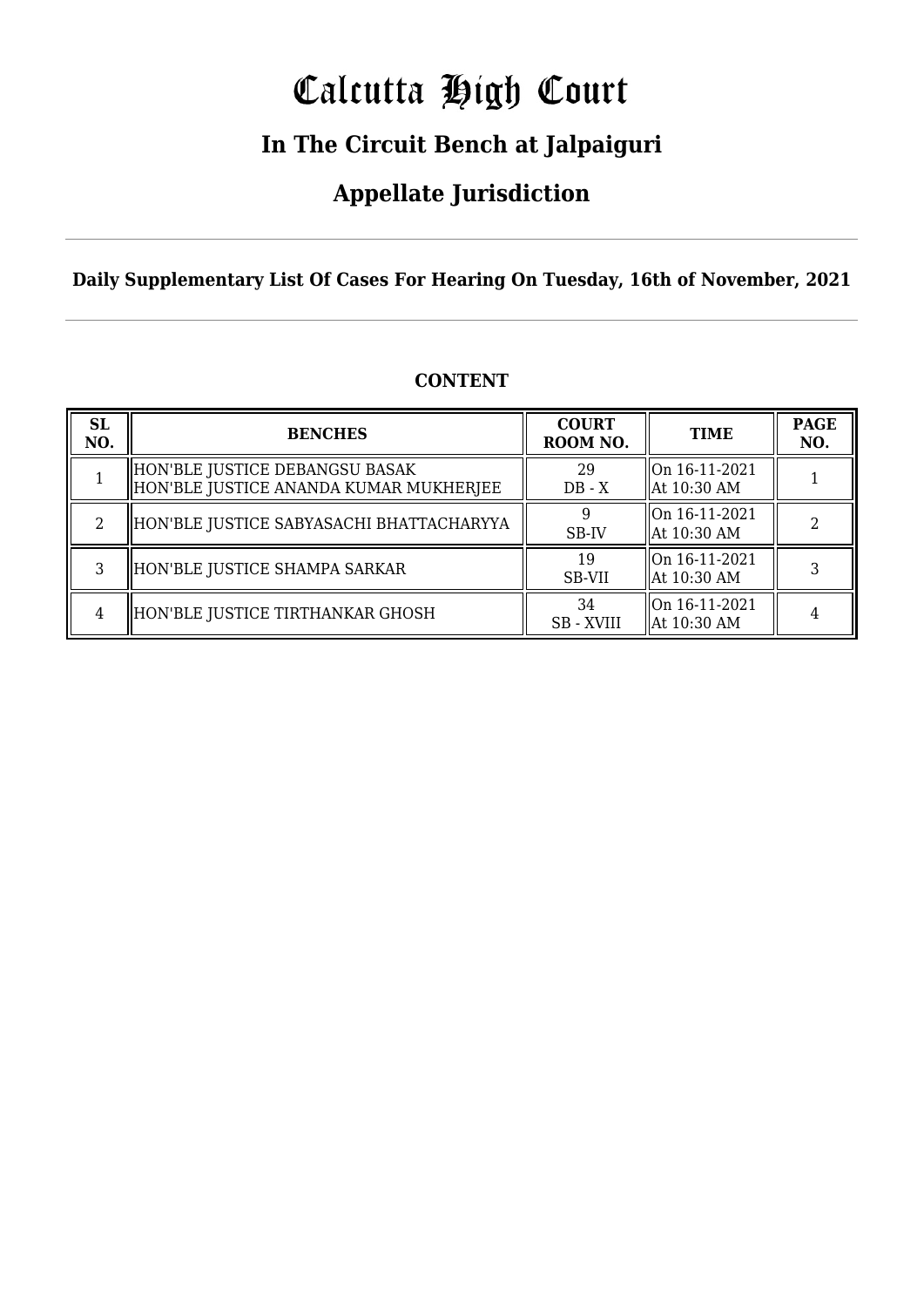# Calcutta High Court

### **In The Circuit Bench at Jalpaiguri**

### **Appellate Jurisdiction**

**Daily Supplementary List Of Cases For Hearing On Tuesday, 16th of November, 2021**

| <b>SL</b><br>NO. | <b>BENCHES</b>                                                           | <b>COURT</b><br>ROOM NO. | <b>TIME</b>                    | <b>PAGE</b><br>NO. |
|------------------|--------------------------------------------------------------------------|--------------------------|--------------------------------|--------------------|
|                  | HON'BLE JUSTICE DEBANGSU BASAK<br>HON'BLE JUSTICE ANANDA KUMAR MUKHERJEE | 29<br>$DB - X$           | On 16-11-2021<br>  At 10:30 AM |                    |
| $\mathfrak{D}$   | HON'BLE JUSTICE SABYASACHI BHATTACHARYYA                                 | SB-IV                    | On 16-11-2021<br>  At 10:30 AM |                    |
| 3                | HON'BLE JUSTICE SHAMPA SARKAR                                            | 19<br>SB-VII             | On 16-11-2021<br>  At 10:30 AM |                    |
| 4                | HON'BLE JUSTICE TIRTHANKAR GHOSH                                         | 34<br><b>SB</b> - XVIII  | On 16-11-2021<br>  At 10:30 AM |                    |

#### **CONTENT**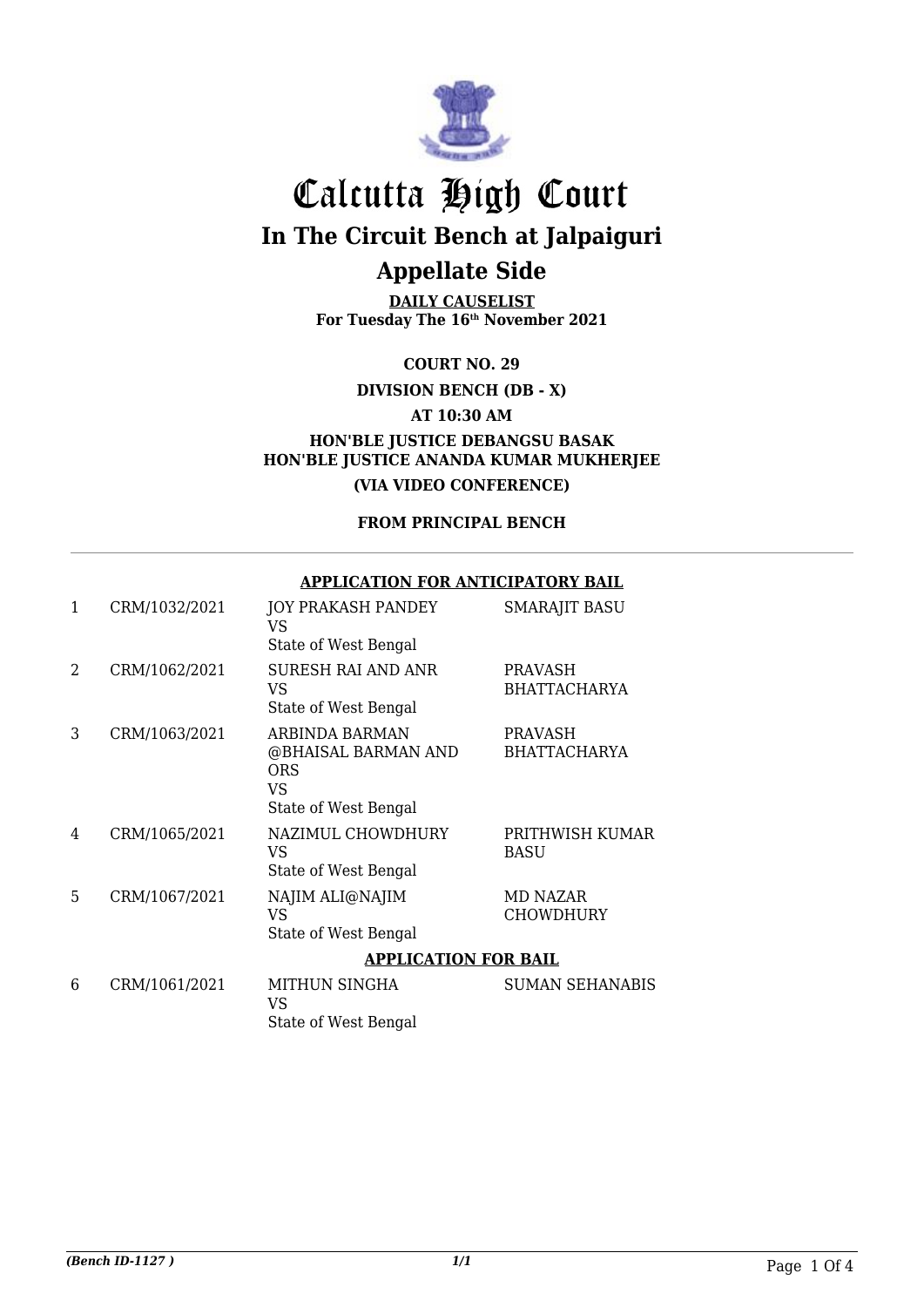

**DAILY CAUSELIST For Tuesday The 16th November 2021**

**COURT NO. 29**

**DIVISION BENCH (DB - X)**

**AT 10:30 AM**

**HON'BLE JUSTICE DEBANGSU BASAK HON'BLE JUSTICE ANANDA KUMAR MUKHERJEE (VIA VIDEO CONFERENCE)**

**FROM PRINCIPAL BENCH**

#### **APPLICATION FOR ANTICIPATORY BAIL**

| 1 | CRM/1032/2021 | JOY PRAKASH PANDEY<br>VS<br>State of West Bengal                                  | <b>SMARAJIT BASU</b>                  |
|---|---------------|-----------------------------------------------------------------------------------|---------------------------------------|
| 2 | CRM/1062/2021 | <b>SURESH RAI AND ANR</b><br>VS<br>State of West Bengal                           | PRAVASH<br><b>BHATTACHARYA</b>        |
| 3 | CRM/1063/2021 | ARBINDA BARMAN<br>@BHAISAL BARMAN AND<br><b>ORS</b><br>VS<br>State of West Bengal | <b>PRAVASH</b><br><b>BHATTACHARYA</b> |
| 4 | CRM/1065/2021 | NAZIMUL CHOWDHURY<br>VS<br>State of West Bengal                                   | PRITHWISH KUMAR<br><b>BASU</b>        |
| 5 | CRM/1067/2021 | NAJIM ALI@NAJIM<br><b>VS</b><br>State of West Bengal                              | MD NAZAR<br><b>CHOWDHURY</b>          |
|   |               | <b>APPLICATION FOR BAIL</b>                                                       |                                       |
| 6 | CRM/1061/2021 | MITHUN SINGHA<br><b>VS</b><br>State of West Bengal                                | <b>SUMAN SEHANABIS</b>                |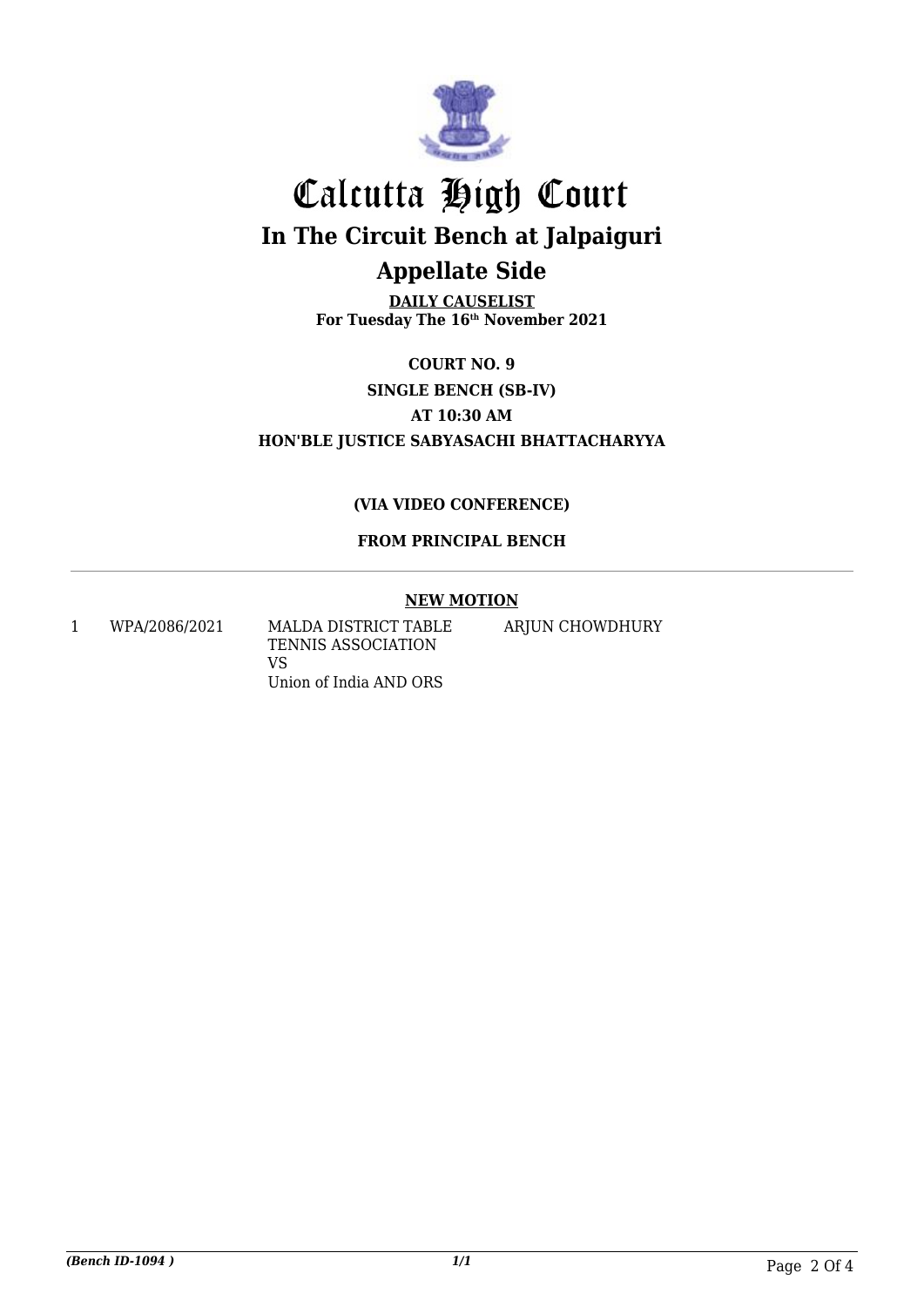

**DAILY CAUSELIST For Tuesday The 16th November 2021**

**COURT NO. 9 SINGLE BENCH (SB-IV) AT 10:30 AM HON'BLE JUSTICE SABYASACHI BHATTACHARYYA**

#### **(VIA VIDEO CONFERENCE)**

#### **FROM PRINCIPAL BENCH**

#### **NEW MOTION**

1 WPA/2086/2021 MALDA DISTRICT TABLE TENNIS ASSOCIATION VS Union of India AND ORS

ARJUN CHOWDHURY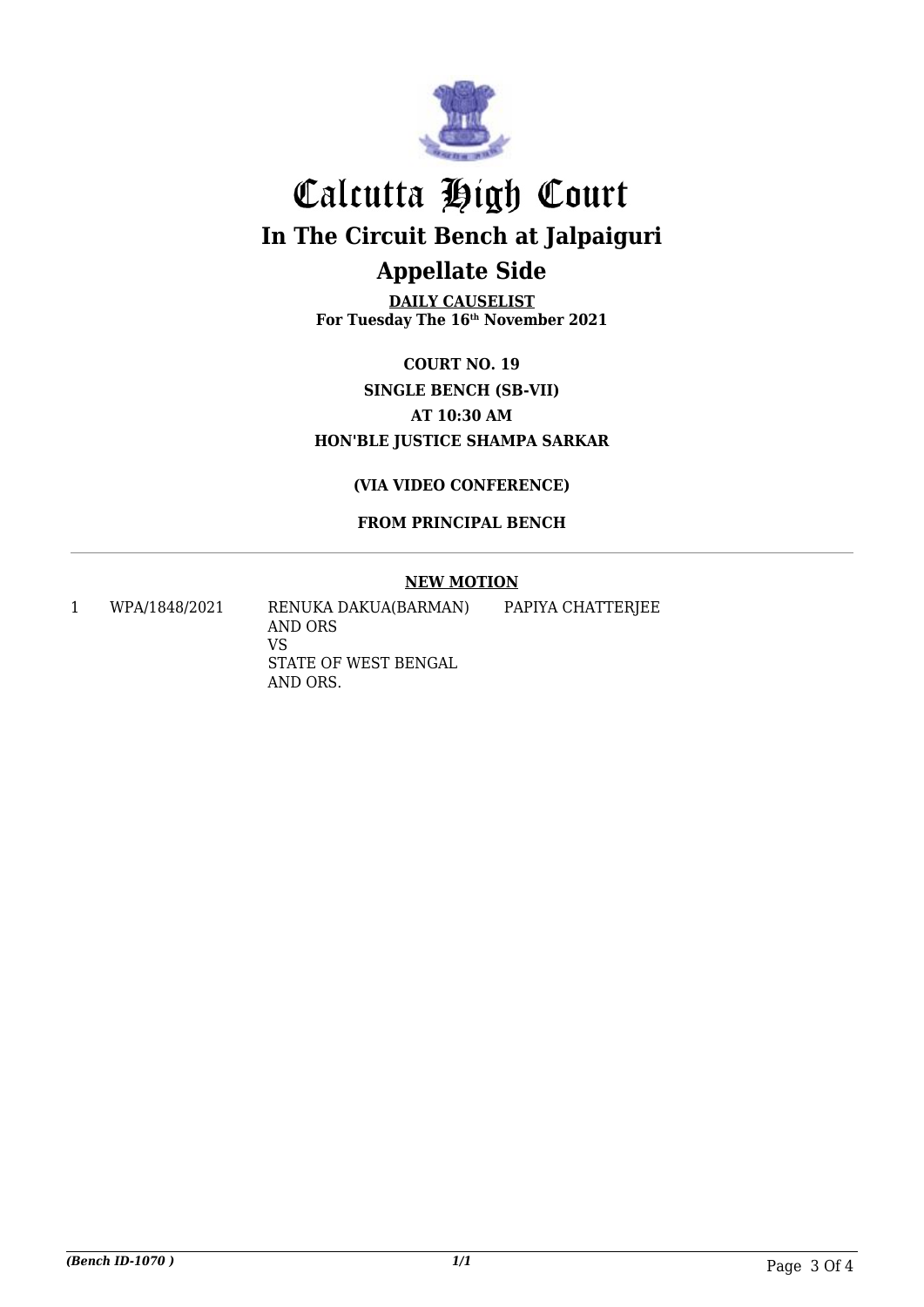

**DAILY CAUSELIST For Tuesday The 16th November 2021**

**COURT NO. 19 SINGLE BENCH (SB-VII) AT 10:30 AM HON'BLE JUSTICE SHAMPA SARKAR**

**(VIA VIDEO CONFERENCE)**

**FROM PRINCIPAL BENCH**

#### **NEW MOTION**

1 WPA/1848/2021 RENUKA DAKUA(BARMAN) AND ORS VS STATE OF WEST BENGAL AND ORS.

PAPIYA CHATTERJEE